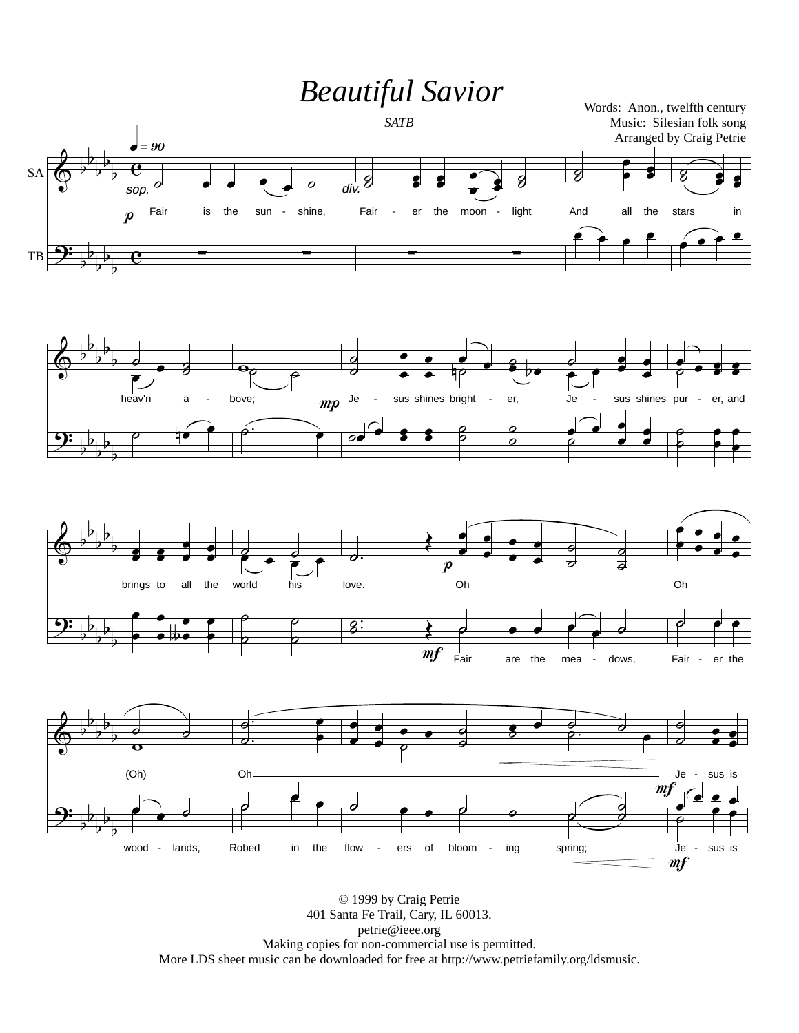

© 1999 by Craig Petrie 401 Santa Fe Trail, Cary, IL 60013. petrie@ieee.org Making copies for non-commercial use is permitted. More LDS sheet music can be downloaded for free at http://www.petriefamily.org/ldsmusic.